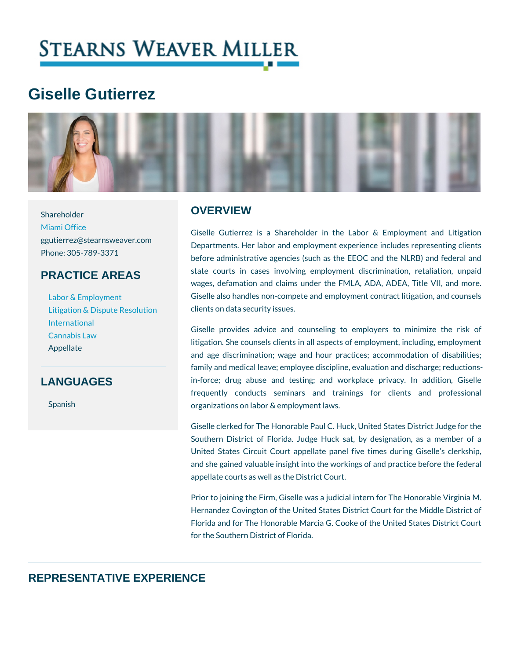# Giselle Gutierrez

# **OVERVIEW**

[Miami O](https://www.stearnsweaver.com/offices/miami/)ffice ggutierrez@stearnsweaver.com<br>Departments. Her labor and employment experience in Phone: 305-789-3371 PRACTICE AREAS [Labor & Emp](https://www.stearnsweaver.com/practices/labor-employment-law)loyment [Litigation & Dispute](https://www.stearnsweaver.com/practices/litigation-dispute-resolution) Resodlichts on data security issues. Giselle Gutierrez is a Shareholder in the Labor & before administrative agencies (such as the EEOC an state courts in cases involving employment discri wages, defamation and claims under the FMLA, ADA, Giselle also handles non-compete and employment cont

[Internat](https://www.stearnsweaver.com/practices/international-law)ional [Cannabis](https://www.stearnsweaver.com/practices/cannabis-law) Law Appellate

## LANGUAGES

Shareholder

Spanish

Giselle provides advice and counseling to employ litigation. She counsels clients in all aspects of emplo and age discrimination; wage and hour practices; ad family and medical leave; employee discipline, evaluati in-force; drug abuse and testing; and workplace frequently conducts seminars and trainings for organizations on labor & employment laws.

Giselle clerked for The Honorable Paul C. Huck, United Southern District of Florida. Judge Huck sat, by de United States Circuit Court appellate panel five tim and she gained valuable insight into the workings of and appellate courts as well as the District Court.

Prior to joining the Firm, Giselle was a judicial intern Hernandez Covington of the United States District Cou Florida and for The Honorable Marcia G. Cooke of the for the Southern District of Florida.

# REPRESENTATIVE EXPERIENCE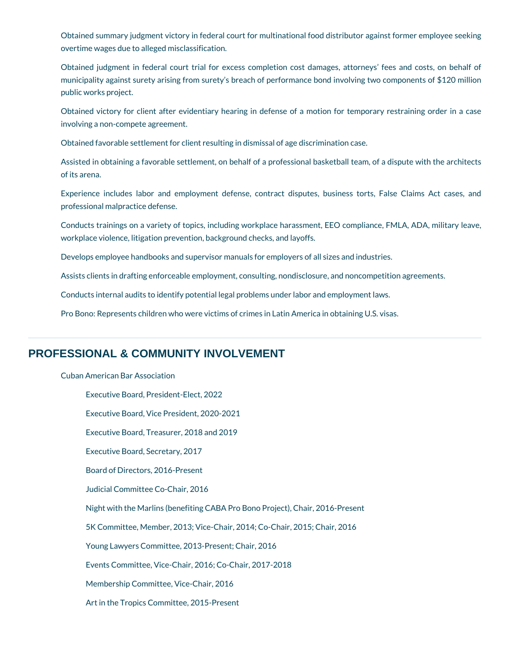Obtained summary judgment victory in federal court for multinational food distributor against former employee seeking overtime wages due to alleged misclassification.

Obtained judgment in federal court trial for excess completion cost damages, attorneys' fees and costs, on behalf of municipality against surety arising from surety's breach of performance bond involving two components of \$120 million public works project.

Obtained victory for client after evidentiary hearing in defense of a motion for temporary restraining order in a case involving a non-compete agreement.

Obtained favorable settlement for client resulting in dismissal of age discrimination case.

Assisted in obtaining a favorable settlement, on behalf of a professional basketball team, of a dispute with the architects of its arena.

Experience includes labor and employment defense, contract disputes, business torts, False Claims Act cases, and professional malpractice defense.

Conducts trainings on a variety of topics, including workplace harassment, EEO compliance, FMLA, ADA, military leave, workplace violence, litigation prevention, background checks, and layoffs.

Develops employee handbooks and supervisor manuals for employers of all sizes and industries.

Assists clients in drafting enforceable employment, consulting, nondisclosure, and noncompetition agreements.

Conducts internal audits to identify potential legal problems under labor and employment laws.

Pro Bono: Represents children who were victims of crimes in Latin America in obtaining U.S. visas.

# **PROFESSIONAL & COMMUNITY INVOLVEMENT**

Cuban American Bar Association

Executive Board, President-Elect, 2022 Executive Board, Vice President, 2020-2021 Executive Board, Treasurer, 2018 and 2019 Executive Board, Secretary, 2017 Board of Directors, 2016-Present Judicial Committee Co-Chair, 2016 Night with the Marlins (benefiting CABA Pro Bono Project), Chair, 2016-Present 5K Committee, Member, 2013; Vice-Chair, 2014; Co-Chair, 2015; Chair, 2016 Young Lawyers Committee, 2013-Present; Chair, 2016 Events Committee, Vice-Chair, 2016; Co-Chair, 2017-2018 Membership Committee, Vice-Chair, 2016 Art in the Tropics Committee, 2015-Present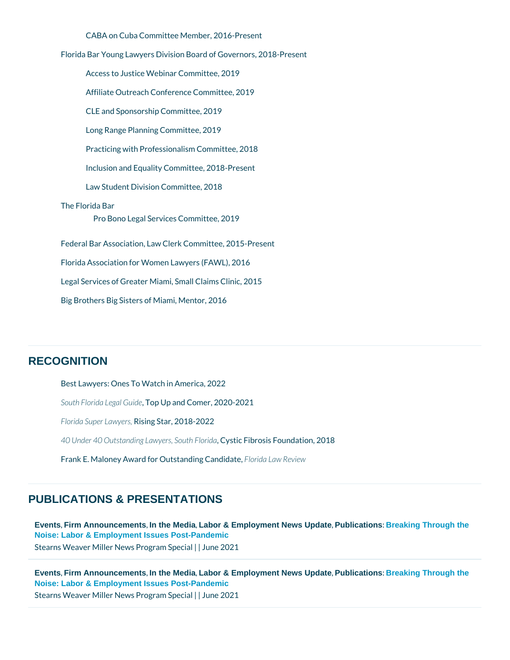CABA on Cuba Committee Member, 2016-Present Access to Justice Webinar Committee, 2019 Affiliate Outreach Conference Committee, 2019 CLE and Sponsorship Committee, 2019 Long Range Planning Committee, 2019 Practicing with Professionalism Committee, 2018 Inclusion and Equality Committee, 2018-Present Law Student Division Committee, 2018 Florida Bar Young Lawyers Division Board of Governors, 2018-Present The Florida Bar Pro Bono Legal Services Committee, 2019 Federal Bar Association, Law Clerk Committee, 2015-Present Florida Association for Women Lawyers (FAWL), 2016 Legal Services of Greater Miami, Small Claims Clinic, 2015

Big Brothers Big Sisters of Miami, Mentor, 2016

#### **RECOGNITION**

Best Lawyers: OnesnTAomMe aitecth 22 South Florida LeTgoapl Gipuialned Comer, 2020-2021 Florida SuperR Lsawy esstar, 2018-2022 40 Under 40 Outstanding La,w G g rstic Sloiubtho Filson Fidandation, 2018 Frank E. Maloney Award for OutsRheomdidinag LG and edvated were

#### PUBLICATIONS & PRESENTATIONS

[Events](/blog/category/events/) Firm Announcements In the Media Labor & Employment News Update Publications : Breaking Through the [Noise: Labor & Employment Issues Post-Pandemic](https://www.stearnsweaver.com/practices/breaking-through-the-noise/) Stearns Weaver Miller News | P Jog mea 2008 pecial

[Events](/blog/category/events/) Firm Announcements In the Media Labor & Employment News Update Publications : Breaking Through the [Noise: Labor & Employment Issues Post-Pandemic](https://www.stearnsweaver.com/practices/breaking-through-the-noise/) Stearns Weaver Miller News | P Jog mea 2008 pecial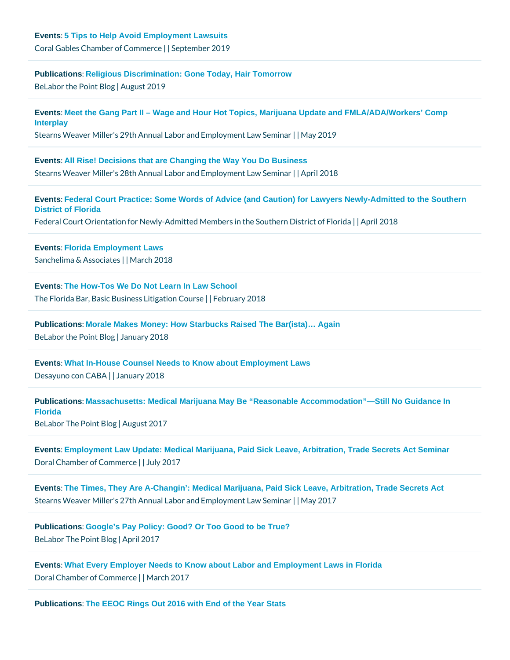[Publications](/blog/category/publications/) [: Religious Discrimination: Gone Today, Hair Tomorrow](https://www.belaborthepoint.com/2019/08/religious-discrimination-gone-today-hair-tomorrow/#more-6576)  $B$ e Labor the Poi $A$ ug Bulsotg 2019

[Events](/blog/category/events/) [: Meet the Gang Part II – Wage and Hour Hot Topics, Marijuana Update and FMLA/ADA/Workers' Comp](https://www.stearnsweaver.com/files/2019 Final Miami Agenda.pdf)  [Interplay](https://www.stearnsweaver.com/files/2019 Final Miami Agenda.pdf) Stearns Weaver Miller's 29th Annual Labor and NE amyp 200y1m9ent Law Seminar

[Events](/blog/category/events/) [: All Rise! Decisions that are Changing the Way You Do Business](http://files.constantcontact.com/2da12ccf301/09d5b0e5-cce4-417d-98e0-b0dc1c914919.pdf) Stearns Weaver Miller's 28th Annual Labor and <del>Epm plic 20mm Bint Law Seminar</del>

[Events](/blog/category/events/) [: Federal Court Practice: Some Words of Advice \(and Caution\) for Lawyers Newly-Admitted to the Southern](https://fba-sdfla.org/event/federal-court-orientation-for-newly-admitted-sdfl-members/)  [District of Florida](https://fba-sdfla.org/event/federal-court-orientation-for-newly-admitted-sdfl-members/) Federal Court Orientation for Newly-Admitted Members in AbeilS @ 0 the In District of F

[Events](/blog/category/events/) [: Florida Employment Laws](http://www.stearnsweaver.com/files/Sanchelima & Associates, P.A. Condensed.pdf) Sanchelima & AssMarate 2018

[Events](/blog/category/events/) [: The How-Tos We Do Not Learn In Law School](http://www.stearnsweaver.com/files/Sanchelima & Associates, P.A. Condensed.pdf) The Florida Bar, Basic Busine \$| s Fleild rigation 2001 of urse

[Publications](/blog/category/publications/) : Morale Makes Money: How Starbucks Raised The Bar(ista)... Again  $B$ e Labor the Point an Bulgorgy 2018

[Events](/blog/category/events/) [: What In-House Counsel Needs to Know about Employment Laws](http://www.stearnsweaver.com/files/Desayuno-con-CABA-01-2018.png) Desayuno con | QABA ary 2018

[Publications](/blog/category/publications/) [: Massachusetts: Medical Marijuana May Be "Reasonable Accommodation"—Still No Guidance In](http://www.belaborthepoint.com/2017/08/massachusettsmedical-marijuana-may-be-reasonable-accommodation-still-no-guidance-in-florida/)  [Florida](http://www.belaborthepoint.com/2017/08/massachusettsmedical-marijuana-may-be-reasonable-accommodation-still-no-guidance-in-florida/)   $B$ e Labor The P $\phi$ iAnut g Bulsotg 2017

[Events](/blog/category/events/) [: Employment Law Update: Medical Marijuana, Paid Sick Leave, Arbitration, Trade Secrets Act Seminar](http://campaign.r20.constantcontact.com/render?m=1102539686157&ca=21c736c0-7663-437d-84d2-b1d187173210) Doral Chamber of Colnumy e 20047

[Events](/blog/category/events/) [: The Times, They Are A-Changin': Medical Marijuana, Paid Sick Leave, Arbitration, Trade Secrets Act](http://campaign.r20.constantcontact.com/render?m=1102539686157&ca=21c736c0-7663-437d-84d2-b1d187173210)  Stearns Weaver Miller's 27th Annual Labor and ME amyp 200y1m7ent Law Seminar

[Publications](/blog/category/publications/) : Google's Pay Policy: Good? Or Too Good to be True?  $Belabor$  The  $P\phi$ i $An$  $p$ r $Bl$  2 $q$ 017

[Events](/blog/category/events/) [: What Every Employer Needs to Know about Labor and Employment Laws in Florida](http://www.belaborthepoint.com/2017/04/googles-pay-policy-good-or-too-good-to-be-true/) Doral Chamber of CoMhamnehc 2017

[Publications](/blog/category/publications/) : The EEOC Rings Out 2016 with End of the Year Stats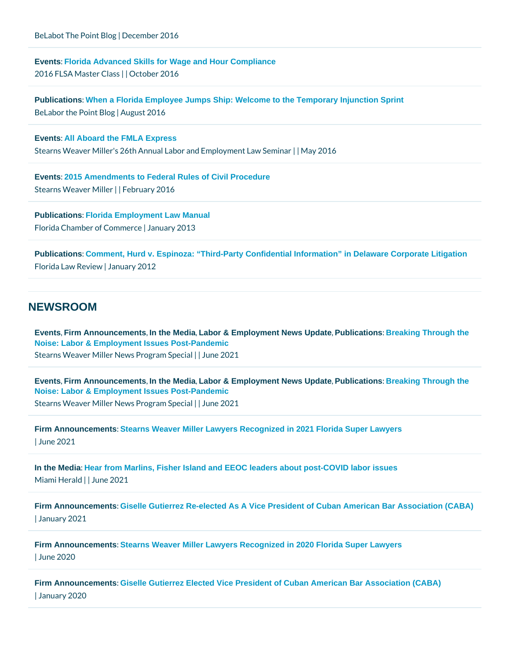$Belabot$  The P $\phi$ iDhecBelmoger 2016

[Events](/blog/category/events/) [: Florida Advanced Skills for Wage and Hour Compliance](http://campaign.r20.constantcontact.com/render?m=1116637108946&ca=e9724f08-1619-4df4-b5ae-bb767d0ac4bc) 2016 FLSA Maste O Ctloats er 2016

[Publications](/blog/category/publications/) [: When a Florida Employee Jumps Ship: Welcome to the Temporary Injunction Sprint](http://www.belaborthepoint.com/2016/08/when-a-florida-employee-jumps-ship-welcome-to-the-temporary-injunction-sprint/)  $Belabor$  the  $P$   $\phi$  i $\mathbb A$  to  $g$   $\mathbb B$  and  $2016$ 

[Events](/blog/category/events/) : All Aboard the FMLA Express Stearns Weaver Miller's 26th Annual Labor and ME any p 200y 1n6ent Law Seminar

[Events](/blog/category/events/) [: 2015 Amendments to Federal Rules of Civil Procedure](http://www.belaborthepoint.com/2016/08/when-a-florida-employee-jumps-ship-welcome-to-the-temporary-injunction-sprint/) Stearns Weavelt FMeiblreurary 2016

[Publications](/blog/category/publications/) [: Florida Employment Law Manual](http://www.belaborthepoint.com/2016/08/when-a-florida-employee-jumps-ship-welcome-to-the-temporary-injunction-sprint/) Florida Chamber of | CJammunaerry c 2013

[Publications](/blog/category/publications/) [: Comment, Hurd v. Espinoza: "Third-Party Confidential Information" in Delaware Corporate Litigation](https://pdfs.semanticscholar.org/8ddb/80ac90409f1a43593aad5bbb5de4359716a1.pdf) Florida Law Reamery 2012

#### **NEWSROOM**

[Events](/blog/category/events/) Firm Announcements In the Media Labor & Employment News Update Publications : Breaking Through the [Noise: Labor & Employment Issues Post-Pandemic](https://www.stearnsweaver.com/practices/breaking-through-the-noise/)

Stearns Weaver Miller News | P Jog mea 2008 pecial

[Events](/blog/category/events/) Firm Announcements In the Media Labor & Employment News Update Publications : Breaking Through the [Noise: Labor & Employment Issues Post-Pandemic](https://www.stearnsweaver.com/practices/breaking-through-the-noise/) Stearns Weaver Miller News | P Jog mea 2008 pecial

[Firm Announcements](/blog/category/firm-announcements/) [: Stearns Weaver Miller Lawyers Recognized in 2021 Florida Super Lawyers](https://www.stearnsweaver.com/files/Stearns Weaver Miller Lawyers Recognized in 2021 Florida Super Lawyers.pdf) | June 2021

[In the Media](/blog/category/in-the-media/) [: Hear from Marlins, Fisher Island and EEOC leaders about post-COVID labor issues](https://www.miamiherald.com/news/business/article252257183.html) Miami Helnaldne 2021

[Firm Announcements](/blog/category/firm-announcements/) [: Giselle Gutierrez Re-elected As A Vice President of Cuban American Bar Association \(CABA\)](https://bit.ly/3qHMYYR) | January 2021

[Firm Announcements](/blog/category/firm-announcements/) [: Stearns Weaver Miller Lawyers Recognized in 2020 Florida Super Lawyers](https://www.stearnsweaver.com/files/Stearns Weaver Miller Lawyers Recognized in 2020 Florida Super Lawyers.pdf) | June 2020

[Firm Announcements](/blog/category/firm-announcements/) [: Giselle Gutierrez Elected Vice President of Cuban American Bar Association \(CABA\)](https://www.stearnsweaver.com/files/Giselle Gutierrez Elected Vice President of Cuban American Bar Association (CABA).pdf) | January 2020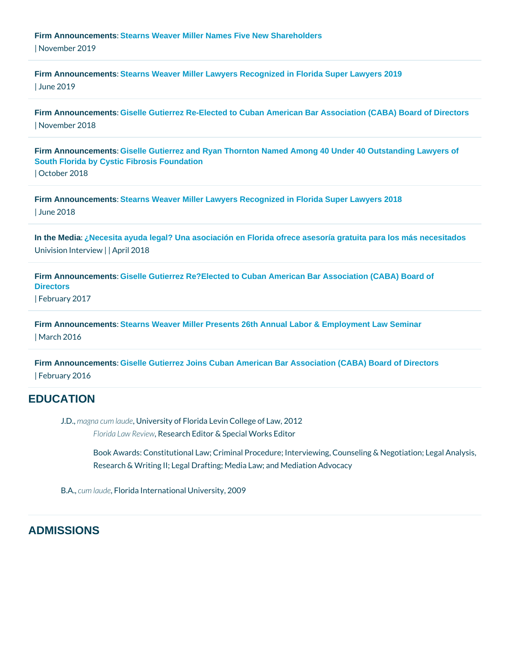[Firm Announcements](/blog/category/firm-announcements/) [: Stearns Weaver Miller Names Five New Shareholders](https://www.stearnsweaver.com/files/Stearns Weaver Miller Names Five New Shareholders .pdf) | November 2019

[Firm Announcements](/blog/category/firm-announcements/) [: Stearns Weaver Miller Lawyers Recognized in Florida Super Lawyers 2019](https://www.stearnsweaver.com/files/Stearns Weaver Miller Lawyers Recognized in Florida Super Lawyers 2019.pdf) | June 2019

[Firm Announcements](/blog/category/firm-announcements/) [: Giselle Gutierrez Re-Elected to Cuban American Bar Association \(CABA\) Board of Directors](http://www.stearnsweaver.com/files/Giselle Gutierrez Re-Elected to CABA.pdf)  | November 2018

[Firm Announcements](/blog/category/firm-announcements/) [: Giselle Gutierrez and Ryan Thornton Named Among 40 Under 40 Outstanding Lawyers of](http://www.stearnsweaver.com/files/Gutierrez and Thornton 40 Under 40.pdf)  [South Florida by Cystic Fibrosis Foundation](http://www.stearnsweaver.com/files/Gutierrez and Thornton 40 Under 40.pdf) | October 2018

[Firm Announcements](/blog/category/firm-announcements/) [: Stearns Weaver Miller Lawyers Recognized in Florida Super Lawyers 2018](http://www.stearnsweaver.com/files/2018 Super Lawyers.pdf) | June 2018

[In the Media](/blog/category/in-the-media/) [: ¿Necesita ayuda legal? Una asociación en Florida ofrece asesoría gratuita para los más necesitados](https://www.univision.com/miami/wltv/noticias/comunidad/necesita-ayuda-legal-una-asociacion-en-florida-ofrece-asesoria-gratuita-para-los-mas-necesitad) Univision Inter Avpiew 2018

[Firm Announcements](/blog/category/firm-announcements/) [: Giselle Gutierrez Re?Elected to Cuban American Bar Association \(CABA\) Board of](http://www.stearnsweaver.com/files/Giselle Gutierrez Re-Elected to Cuban American Bar Association Board of Directors.pdf)  **Directors** | February 2017

[Firm Announcements](/blog/category/firm-announcements/) [: Stearns Weaver Miller Presents 26th Annual Labor & Employment Law Seminar](http://www.stearnsweaver.com/files/Stearns Weaver Miller Presents 26th Annual Labor & Employment Law Seminar.pdf) | March 2016

[Firm Announcements](/blog/category/firm-announcements/) [: Giselle Gutierrez Joins Cuban American Bar Association \(CABA\) Board of Directors](http://www.stearnsweaver.com/files/Giselle Gutierrez Joins Cuban American Bar Association Board of Directors.pdf) | February 2016

#### **EDUCATION**

J.Dm, agna cum Umudersity of Florida Levin College of Law, 2012 Florida Law Reseawch Editor & Special Works Editor

Book Awards: Constitutional Law; Criminal Procedure; Interviewing, Cour Research & Writing II; Legal Drafting; Media Law; and Mediation Advocacy

B. Acum laurde nida International University, 2009

#### ADMISSIONS